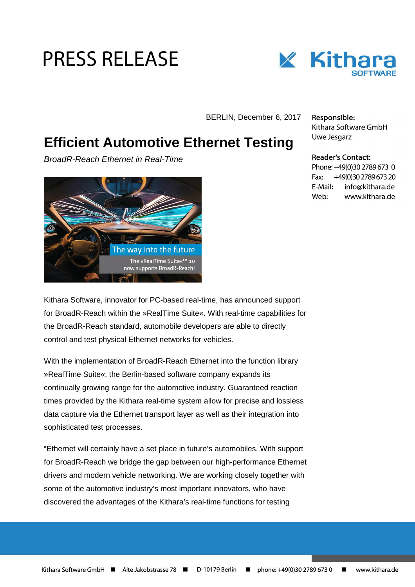# **PRESS RELEASE**



BERLIN, December 6, 2017

## **Efficient Automotive Ethernet Testing**

BroadR-Reach Ethernet in Real-Time



Responsible: Kithara Software GmbH Uwe Jesgarz

### **Reader's Contact:**

Phone: +49(0)30 2789 673 0 Fax: +49(0)30 2789 673 20 E-Mail: info@kithara.de Web<sup>.</sup> www.kithara.de

Kithara Software, innovator for PC-based real-time, has announced support for BroadR-Reach within the »RealTime Suite«. With real-time capabilities for the BroadR-Reach standard, automobile developers are able to directly control and test physical Ethernet networks for vehicles.

With the implementation of BroadR-Reach Ethernet into the function library »RealTime Suite«, the Berlin-based software company expands its continually growing range for the automotive industry. Guaranteed reaction times provided by the Kithara real-time system allow for precise and lossless data capture via the Ethernet transport layer as well as their integration into sophisticated test processes.

"Ethernet will certainly have a set place in future's automobiles. With support for BroadR-Reach we bridge the gap between our high-performance Ethernet drivers and modern vehicle networking. We are working closely together with some of the automotive industry's most important innovators, who have discovered the advantages of the Kithara's real-time functions for testing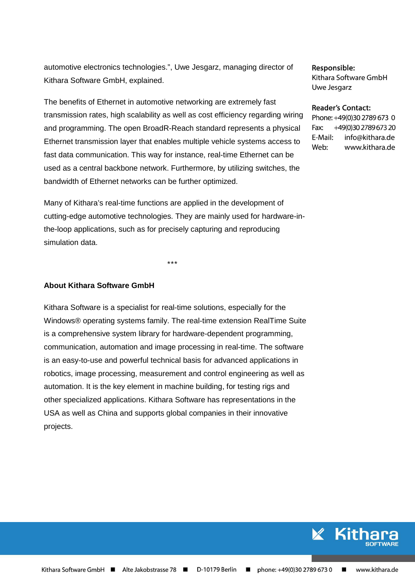automotive electronics technologies.", Uwe Jesgarz, managing director of Kithara Software GmbH, explained.

The benefits of Ethernet in automotive networking are extremely fast transmission rates, high scalability as well as cost efficiency regarding wiring and programming. The open BroadR-Reach standard represents a physical Ethernet transmission layer that enables multiple vehicle systems access to fast data communication. This way for instance, real-time Ethernet can be used as a central backbone network. Furthermore, by utilizing switches, the bandwidth of Ethernet networks can be further optimized.

Many of Kithara's real-time functions are applied in the development of cutting-edge automotive technologies. They are mainly used for hardware-inthe-loop applications, such as for precisely capturing and reproducing simulation data.

\*\*\*

#### **About Kithara Software GmbH**

Kithara Software is a specialist for real-time solutions, especially for the Windows® operating systems family. The real-time extension RealTime Suite is a comprehensive system library for hardware-dependent programming, communication, automation and image processing in real-time. The software is an easy-to-use and powerful technical basis for advanced applications in robotics, image processing, measurement and control engineering as well as automation. It is the key element in machine building, for testing rigs and other specialized applications. Kithara Software has representations in the USA as well as China and supports global companies in their innovative projects.

Responsible: Kithara Software GmbH Uwe Jesgarz

#### **Reader's Contact:**

Phone: +49(0)30 2789 673 0 +49(0)30 2789 673 20 Fax: E-Mail: info@kithara.de Web: www.kithara.de